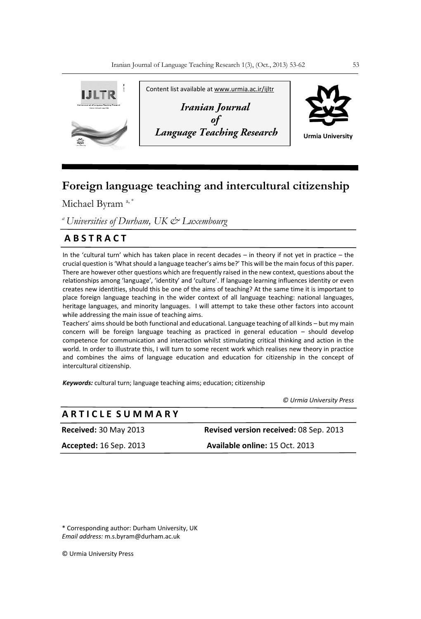

# **Foreign language teaching and intercultural citizenship**

Michael Byram<sup>a,\*</sup>

*<sup>a</sup>Universities of Durham, UK & Luxembourg* 

## **A B S T R A C T**

In the 'cultural turn' which has taken place in recent decades – in theory if not yet in practice – the crucial question is 'What should a language teacher's aims be?' This will be the main focus of this paper. There are however other questions which are frequently raised in the new context, questions about the relationships among 'language', 'identity' and 'culture'. If language learning influences identity or even creates new identities, should this be one of the aims of teaching? At the same time it is important to place foreign language teaching in the wider context of all language teaching: national languages, heritage languages, and minority languages. I will attempt to take these other factors into account while addressing the main issue of teaching aims.

Teachers' aims should be both functional and educational. Language teaching of all kinds – but my main concern will be foreign language teaching as practiced in general education – should develop competence for communication and interaction whilst stimulating critical thinking and action in the world. In order to illustrate this, I will turn to some recent work which realises new theory in practice and combines the aims of language education and education for citizenship in the concept of intercultural citizenship.

*Keywords:* cultural turn; language teaching aims; education; citizenship

 *© Urmia University Press*

| <b>ARTICLE SUMMARY</b>        |                                        |
|-------------------------------|----------------------------------------|
| <b>Received: 30 May 2013</b>  | Revised version received: 08 Sep. 2013 |
| <b>Accepted:</b> 16 Sep. 2013 | Available online: 15 Oct. 2013         |
|                               |                                        |

\* Corresponding author: Durham University, UK *Email address:* m.s.byram@durham.ac.uk

© Urmia University Press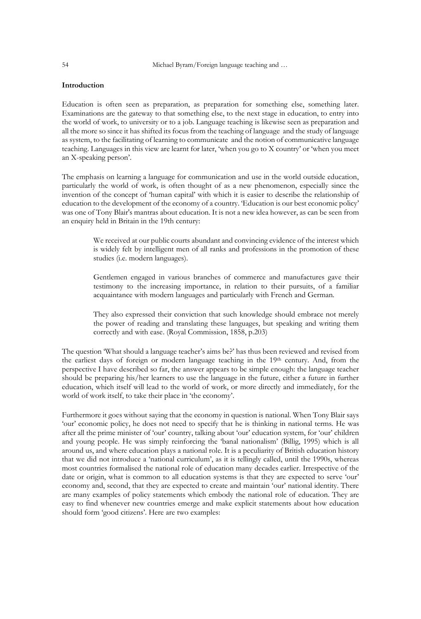## **Introduction**

Education is often seen as preparation, as preparation for something else, something later. Examinations are the gateway to that something else, to the next stage in education, to entry into the world of work, to university or to a job. Language teaching is likewise seen as preparation and all the more so since it has shifted its focus from the teaching of language and the study of language as system, to the facilitating of learning to communicate and the notion of communicative language teaching. Languages in this view are learnt for later, 'when you go to X country' or 'when you meet an X-speaking person'.

The emphasis on learning a language for communication and use in the world outside education, particularly the world of work, is often thought of as a new phenomenon, especially since the invention of the concept of 'human capital' with which it is easier to describe the relationship of education to the development of the economy of a country. 'Education is our best economic policy' was one of Tony Blair's mantras about education. It is not a new idea however, as can be seen from an enquiry held in Britain in the 19th century:

> We received at our public courts abundant and convincing evidence of the interest which is widely felt by intelligent men of all ranks and professions in the promotion of these studies (i.e. modern languages).

> Gentlemen engaged in various branches of commerce and manufactures gave their testimony to the increasing importance, in relation to their pursuits, of a familiar acquaintance with modern languages and particularly with French and German.

> They also expressed their conviction that such knowledge should embrace not merely the power of reading and translating these languages, but speaking and writing them correctly and with ease. (Royal Commission, 1858, p.203)

The question 'What should a language teacher's aims be?' has thus been reviewed and revised from the earliest days of foreign or modern language teaching in the 19th century. And, from the perspective I have described so far, the answer appears to be simple enough: the language teacher should be preparing his/her learners to use the language in the future, either a future in further education, which itself will lead to the world of work, or more directly and immediately, for the world of work itself, to take their place in 'the economy'.

Furthermore it goes without saying that the economy in question is national. When Tony Blair says 'our' economic policy, he does not need to specify that he is thinking in national terms. He was after all the prime minister of 'our' country, talking about 'our' education system, for 'our' children and young people. He was simply reinforcing the 'banal nationalism' (Billig, 1995) which is all around us, and where education plays a national role. It is a peculiarity of British education history that we did not introduce a 'national curriculum', as it is tellingly called, until the 1990s, whereas most countries formalised the national role of education many decades earlier. Irrespective of the date or origin, what is common to all education systems is that they are expected to serve 'our' economy and, second, that they are expected to create and maintain 'our' national identity. There are many examples of policy statements which embody the national role of education. They are easy to find whenever new countries emerge and make explicit statements about how education should form 'good citizens'. Here are two examples: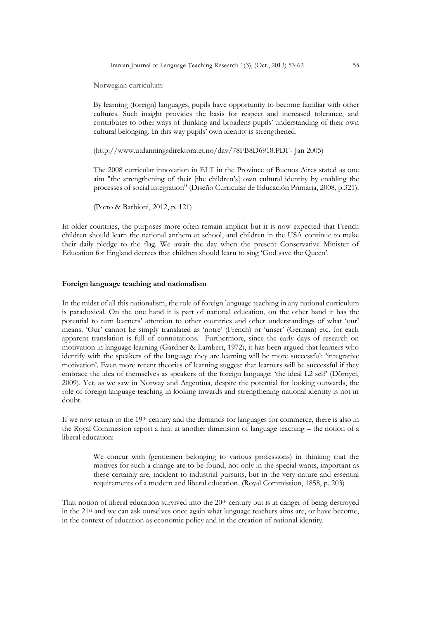Iranian Journal of Language Teaching Research 1(3), (Oct., 2013) 53-62 55

Norwegian curriculum:

By learning (foreign) languages, pupils have opportunity to become familiar with other cultures. Such insight provides the basis for respect and increased tolerance, and contributes to other ways of thinking and broadens pupils' understanding of their own cultural belonging. In this way pupils' own identity is strengthened.

[\(http://www.utdanningsdirektoratet.no/dav/78FB8D6918.PDF-](http://www.utdanningsdirektoratet.no/dav/78FB8D6918.PDF) Jan 2005)

The 2008 curricular innovation in ELT in the Province of Buenos Aires stated as one aim "the strengthening of their [the children's] own cultural identity by enabling the processes of social integration" (Diseño Curricular de Educación Primaria, 2008, p.321).

(Porto & Barbioni, 2012, p. 121)

In older countries, the purposes more often remain implicit but it is now expected that French children should learn the national anthem at school, and children in the USA continue to make their daily pledge to the flag. We await the day when the present Conservative Minister of Education for England decrees that children should learn to sing 'God save the Queen'.

#### **Foreign language teaching and nationalism**

In the midst of all this nationalism, the role of foreign language teaching in any national curriculum is paradoxical. On the one hand it is part of national education, on the other hand it has the potential to turn learners' attention to other countries and other understandings of what 'our' means. 'Our' cannot be simply translated as 'notre' (French) or 'unser' (German) etc. for each apparent translation is full of connotations. Furthermore, since the early days of research on motivation in language learning (Gardner & Lambert, 1972), it has been argued that learners who identify with the speakers of the language they are learning will be more successful: 'integrative motivation'. Even more recent theories of learning suggest that learners will be successful if they embrace the idea of themselves as speakers of the foreign language: 'the ideal L2 self' (Dörnyei, 2009). Yet, as we saw in Norway and Argentina, despite the potential for looking outwards, the role of foreign language teaching in looking inwards and strengthening national identity is not in doubt.

If we now return to the 19<sup>th</sup> century and the demands for languages for commerce, there is also in the Royal Commission report a hint at another dimension of language teaching – the notion of a liberal education:

> We concur with (gentlemen belonging to various professions) in thinking that the motives for such a change are to be found, not only in the special wants, important as these certainly are, incident to industrial pursuits, but in the very nature and essential requirements of a modern and liberal education. (Royal Commission, 1858, p. 203)

That notion of liberal education survived into the 20th century but is in danger of being destroyed in the 21st and we can ask ourselves once again what language teachers aims are, or have become, in the context of education as economic policy and in the creation of national identity.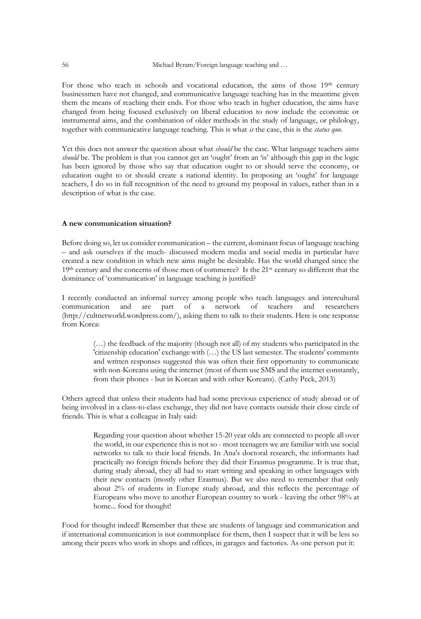For those who teach in schools and vocational education, the aims of those 19th century businessmen have not changed, and communicative language teaching has in the meantime given them the means of reaching their ends. For those who teach in higher education, the aims have changed from being focused exclusively on liberal education to now include the economic or instrumental aims, and the combination of older methods in the study of language, or philology, together with communicative language teaching. This is what *is* the case, this is the *status quo*.

Yet this does not answer the question about what *should* be the case. What language teachers aims *should* be. The problem is that you cannot get an 'ought' from an 'is' although this gap in the logic has been ignored by those who say that education ought to or should serve the economy, or education ought to or should create a national identity. In proposing an 'ought' for language teachers, I do so in full recognition of the need to ground my proposal in values, rather than in a description of what is the case.

### **A new communication situation?**

Before doing so, let us consider communication – the current, dominant focus of language teaching – and ask ourselves if the much- discussed modern media and social media in particular have created a new condition in which new aims might be desirable. Has the world changed since the 19<sup>th</sup> century and the concerns of those men of commerce? Is the 21<sup>st</sup> century so different that the dominance of 'communication' in language teaching is justified?

I recently conducted an informal survey among people who teach languages and intercultural communication and are part of a network of teachers and researchers [\(http://cultnetworld.wordpress.com/\)](http://cultnetworld.wordpress.com/), asking them to talk to their students. Here is one response from Korea:

> (…) the feedback of the majority (though not all) of my students who participated in the 'citizenship education' exchange with (…) the US last semester. The students' comments and written responses suggested this was often their first opportunity to communicate with non-Koreans using the internet (most of them use SMS and the internet constantly, from their phones - but in Korean and with other Koreans). (Cathy Peck, 2013)

Others agreed that unless their students had had some previous experience of study abroad or of being involved in a class-to-class exchange, they did not have contacts outside their close circle of friends. This is what a colleague in Italy said:

> Regarding your question about whether 15-20 year olds are connected to people all over the world, in our experience this is not so - most teenagers we are familiar with use social networks to talk to their local friends. In Ana's doctoral research, the informants had practically no foreign friends before they did their Erasmus programme. It is true that, during study abroad, they all had to start writing and speaking in other languages with their new contacts (mostly other Erasmus). But we also need to remember that only about 2% of students in Europe study abroad, and this reflects the percentage of Europeans who move to another European country to work - leaving the other 98% at home... food for thought!

Food for thought indeed! Remember that these are students of language and communication and if international communication is not commonplace for them, then I suspect that it will be less so among their peers who work in shops and offices, in garages and factories. As one person put it: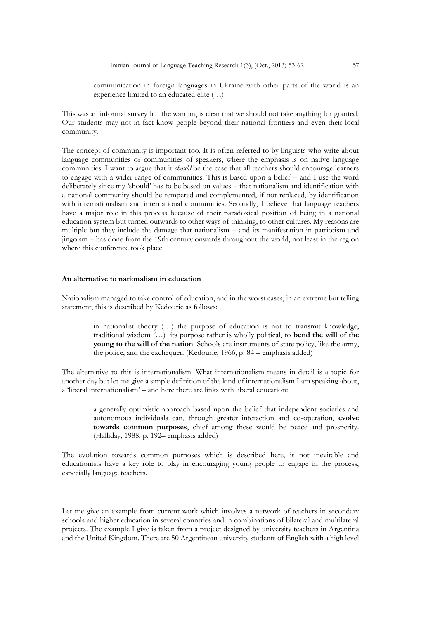communication in foreign languages in Ukraine with other parts of the world is an experience limited to an educated elite (…)

This was an informal survey but the warning is clear that we should not take anything for granted. Our students may not in fact know people beyond their national frontiers and even their local community.

The concept of community is important too. It is often referred to by linguists who write about language communities or communities of speakers, where the emphasis is on native language communities. I want to argue that it *should* be the case that all teachers should encourage learners to engage with a wider range of communities. This is based upon a belief – and I use the word deliberately since my 'should' has to be based on values – that nationalism and identification with a national community should be tempered and complemented, if not replaced, by identification with internationalism and international communities. Secondly, I believe that language teachers have a major role in this process because of their paradoxical position of being in a national education system but turned outwards to other ways of thinking, to other cultures. My reasons are multiple but they include the damage that nationalism – and its manifestation in patriotism and jingoism – has done from the 19th century onwards throughout the world, not least in the region where this conference took place.

## **An alternative to nationalism in education**

Nationalism managed to take control of education, and in the worst cases, in an extreme but telling statement, this is described by Kedourie as follows:

> in nationalist theory (…) the purpose of education is not to transmit knowledge, traditional wisdom (…) its purpose rather is wholly political, to **bend the will of the young to the will of the nation**. Schools are instruments of state policy, like the army, the police, and the exchequer. (Kedourie, 1966, p. 84 – emphasis added)

The alternative to this is internationalism. What internationalism means in detail is a topic for another day but let me give a simple definition of the kind of internationalism I am speaking about, a 'liberal internationalism' – and here there are links with liberal education:

> a generally optimistic approach based upon the belief that independent societies and autonomous individuals can, through greater interaction and co-operation, **evolve towards common purposes**, chief among these would be peace and prosperity. (Halliday, 1988, p. 192– emphasis added)

The evolution towards common purposes which is described here, is not inevitable and educationists have a key role to play in encouraging young people to engage in the process, especially language teachers.

Let me give an example from current work which involves a network of teachers in secondary schools and higher education in several countries and in combinations of bilateral and multilateral projects. The example I give is taken from a project designed by university teachers in Argentina and the United Kingdom. There are 50 Argentinean university students of English with a high level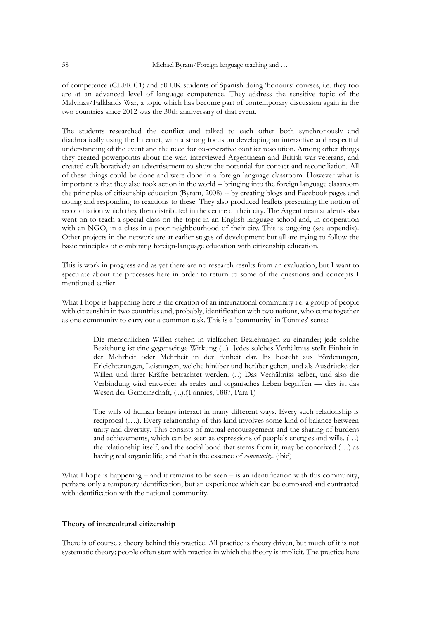of competence (CEFR C1) and 50 UK students of Spanish doing 'honours' courses, i.e. they too are at an advanced level of language competence. They address the sensitive topic of the Malvinas/Falklands War, a topic which has become part of contemporary discussion again in the two countries since 2012 was the 30th anniversary of that event.

The students researched the conflict and talked to each other both synchronously and diachronically using the Internet, with a strong focus on developing an interactive and respectful understanding of the event and the need for co-operative conflict resolution. Among other things they created powerpoints about the war, interviewed Argentinean and British war veterans, and created collaboratively an advertisement to show the potential for contact and reconciliation. All of these things could be done and were done in a foreign language classroom. However what is important is that they also took action in the world -- bringing into the foreign language classroom the principles of citizenship education (Byram, 2008) -- by creating blogs and Facebook pages and noting and responding to reactions to these. They also produced leaflets presenting the notion of reconciliation which they then distributed in the centre of their city. The Argentinean students also went on to teach a special class on the topic in an English-language school and, in cooperation with an NGO, in a class in a poor neighbourhood of their city. This is ongoing (see appendix). Other projects in the network are at earlier stages of development but all are trying to follow the basic principles of combining foreign-language education with citizenship education.

This is work in progress and as yet there are no research results from an evaluation, but I want to speculate about the processes here in order to return to some of the questions and concepts I mentioned earlier.

What I hope is happening here is the creation of an international community i.e. a group of people with citizenship in two countries and, probably, identification with two nations, who come together as one community to carry out a common task. This is a 'community' in Tönnies' sense:

> Die menschlichen Willen stehen in vielfachen Beziehungen zu einander; jede solche Beziehung ist eine gegenseitige Wirkung (...) Jedes solches Verhältniss stellt Einheit in der Mehrheit oder Mehrheit in der Einheit dar. Es besteht aus Förderungen, Erleichterungen, Leistungen, welche hinüber und herüber gehen, und als Ausdrücke der Willen und ihrer Kräfte betrachtet werden. (...) Das Verhältniss selber, und also die Verbindung wird entweder als reales und organisches Leben begriffen — dies ist das Wesen der Gemeinschaft, (...).(Tönnies, 1887, Para 1)

> The wills of human beings interact in many different ways. Every such relationship is reciprocal (….). Every relationship of this kind involves some kind of balance between unity and diversity. This consists of mutual encouragement and the sharing of burdens and achievements, which can be seen as expressions of people's energies and wills. (…) the relationship itself, and the social bond that stems from it, may be conceived (…) as having real organic life, and that is the essence of *community*. (ibid)

What I hope is happening – and it remains to be seen – is an identification with this community, perhaps only a temporary identification, but an experience which can be compared and contrasted with identification with the national community.

## **Theory of intercultural citizenship**

There is of course a theory behind this practice. All practice is theory driven, but much of it is not systematic theory; people often start with practice in which the theory is implicit. The practice here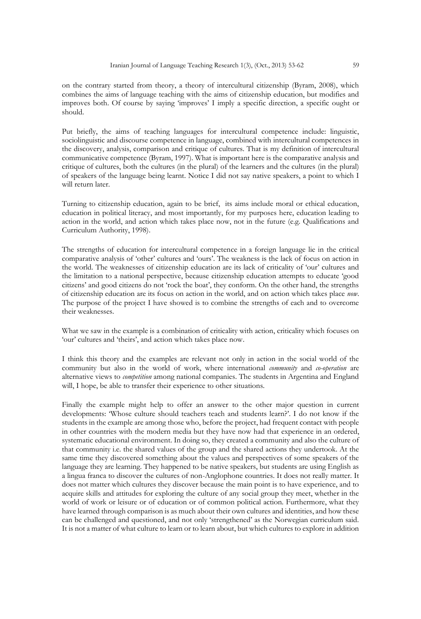on the contrary started from theory, a theory of intercultural citizenship (Byram, 2008), which combines the aims of language teaching with the aims of citizenship education, but modifies and improves both. Of course by saying 'improves' I imply a specific direction, a specific ought or should.

Put briefly, the aims of teaching languages for intercultural competence include: linguistic, sociolinguistic and discourse competence in language, combined with intercultural competences in the discovery, analysis, comparison and critique of cultures. That is my definition of intercultural communicative competence (Byram, 1997). What is important here is the comparative analysis and critique of cultures, both the cultures (in the plural) of the learners and the cultures (in the plural) of speakers of the language being learnt. Notice I did not say native speakers, a point to which I will return later.

Turning to citizenship education, again to be brief, its aims include moral or ethical education, education in political literacy, and most importantly, for my purposes here, education leading to action in the world, and action which takes place now, not in the future (e.g. Qualifications and Curriculum Authority, 1998).

The strengths of education for intercultural competence in a foreign language lie in the critical comparative analysis of 'other' cultures and 'ours'. The weakness is the lack of focus on action in the world. The weaknesses of citizenship education are its lack of criticality of 'our' cultures and the limitation to a national perspective, because citizenship education attempts to educate 'good citizens' and good citizens do not 'rock the boat', they conform. On the other hand, the strengths of citizenship education are its focus on action in the world, and on action which takes place *now*. The purpose of the project I have showed is to combine the strengths of each and to overcome their weaknesses.

What we saw in the example is a combination of criticality with action, criticality which focuses on 'our' cultures and 'theirs', and action which takes place now.

I think this theory and the examples are relevant not only in action in the social world of the community but also in the world of work, where international *community* and *co-operation* are alternative views to *competition* among national companies. The students in Argentina and England will, I hope, be able to transfer their experience to other situations.

Finally the example might help to offer an answer to the other major question in current developments: 'Whose culture should teachers teach and students learn?'. I do not know if the students in the example are among those who, before the project, had frequent contact with people in other countries with the modern media but they have now had that experience in an ordered, systematic educational environment. In doing so, they created a community and also the culture of that community i.e. the shared values of the group and the shared actions they undertook. At the same time they discovered something about the values and perspectives of some speakers of the language they are learning. They happened to be native speakers, but students are using English as a lingua franca to discover the cultures of non-Anglophone countries. It does not really matter. It does not matter which cultures they discover because the main point is to have experience, and to acquire skills and attitudes for exploring the culture of any social group they meet, whether in the world of work or leisure or of education or of common political action. Furthermore, what they have learned through comparison is as much about their own cultures and identities, and how these can be challenged and questioned, and not only 'strengthened' as the Norwegian curriculum said. It is not a matter of what culture to learn or to learn about, but which cultures to explore in addition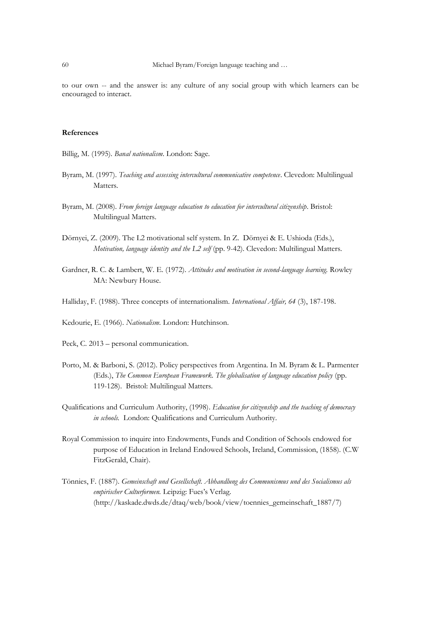to our own -- and the answer is: any culture of any social group with which learners can be encouraged to interact.

## **References**

Billig, M. (1995). *Banal nationalism*. London: Sage.

- Byram, M. (1997). *Teaching and assessing intercultural communicative competence*. Clevedon: Multilingual Matters.
- Byram, M. (2008). *From foreign language education to education for intercultural citizenship*. Bristol: Multilingual Matters.
- Dörnyei, Z. (2009). The L2 motivational self system. In Z. Dörnyei & E. Ushioda (Eds.), *Motivation, language identity and the L2 self* (pp. 9-42). Clevedon: Multilingual Matters.
- Gardner, R. C. & Lambert, W. E. (1972). *Attitudes and motivation in second-language learning.* Rowley MA: Newbury House.
- Halliday, F. (1988). Three concepts of internationalism. *International Affair, 64* (3), 187-198.
- Kedourie, E. (1966). *Nationalism.* London: Hutchinson.
- Peck, C. 2013 personal communication.
- Porto, M. & Barboni, S. (2012). Policy perspectives from Argentina. In M. Byram & L. Parmenter (Eds.), *The Common European Framework. The globalisation of language education policy* (pp. 119-128). Bristol: Multilingual Matters.
- Qualifications and Curriculum Authority, (1998). *Education for citizenship and the teaching of democracy in schools.* London: Qualifications and Curriculum Authority.
- Royal Commission to inquire into Endowments, Funds and Condition of Schools endowed for purpose of Education in Ireland Endowed Schools, Ireland, Commission, (1858). (C.W FitzGerald, Chair).
- Tönnies, F. (1887). *Gemeinschaft und Gesellschaft. Abhandlung des Communismus und des Socialismus als empirischer Culturformen.* Leipzig: Fues's Verlag. (http://kaskade.dwds.de/dtaq/web/book/view/toennies\_gemeinschaft\_1887/7)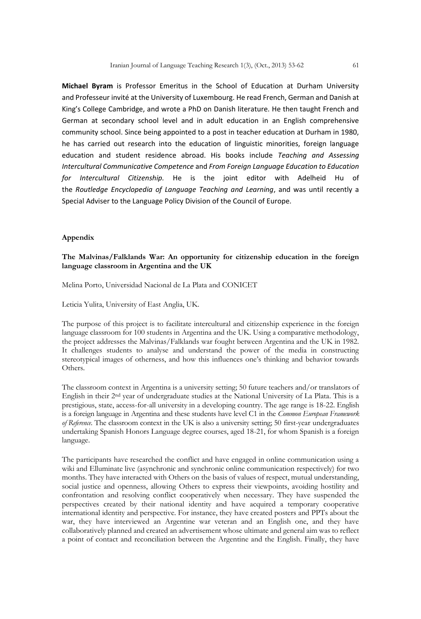**Michael Byram** is Professor Emeritus in the School of Education at Durham University and Professeur invité at the University of Luxembourg. He read French, German and Danish at King's College Cambridge, and wrote a PhD on Danish literature. He then taught French and German at secondary school level and in adult education in an English comprehensive community school. Since being appointed to a post in teacher education at Durham in 1980, he has carried out research into the education of linguistic minorities, foreign language education and student residence abroad. His books include *Teaching and Assessing Intercultural Communicative Competence* and *From Foreign Language Education to Education for Intercultural Citizenship.* He is the joint editor with Adelheid Hu of the *Routledge Encyclopedia of Language Teaching and Learning*, and was until recently a Special Adviser to the Language Policy Division of the Council of Europe.

## **Appendix**

## **The Malvinas/Falklands War: An opportunity for citizenship education in the foreign language classroom in Argentina and the UK**

Melina Porto, Universidad Nacional de La Plata and CONICET

Leticia Yulita, University of East Anglia, UK.

The purpose of this project is to facilitate intercultural and citizenship experience in the foreign language classroom for 100 students in Argentina and the UK. Using a comparative methodology, the project addresses the Malvinas/Falklands war fought between Argentina and the UK in 1982. It challenges students to analyse and understand the power of the media in constructing stereotypical images of otherness, and how this influences one's thinking and behavior towards Others.

The classroom context in Argentina is a university setting; 50 future teachers and/or translators of English in their 2nd year of undergraduate studies at the National University of La Plata. This is a prestigious, state, access-for-all university in a developing country. The age range is 18-22. English is a foreign language in Argentina and these students have level C1 in the *Common European Framework of Reference*. The classroom context in the UK is also a university setting; 50 first-year undergraduates undertaking Spanish Honors Language degree courses, aged 18-21, for whom Spanish is a foreign language.

The participants have researched the conflict and have engaged in online communication using a wiki and Elluminate live (asynchronic and synchronic online communication respectively) for two months. They have interacted with Others on the basis of values of respect, mutual understanding, social justice and openness, allowing Others to express their viewpoints, avoiding hostility and confrontation and resolving conflict cooperatively when necessary. They have suspended the perspectives created by their national identity and have acquired a temporary cooperative international identity and perspective. For instance, they have created posters and PPTs about the war, they have interviewed an Argentine war veteran and an English one, and they have collaboratively planned and created an advertisement whose ultimate and general aim was to reflect a point of contact and reconciliation between the Argentine and the English. Finally, they have